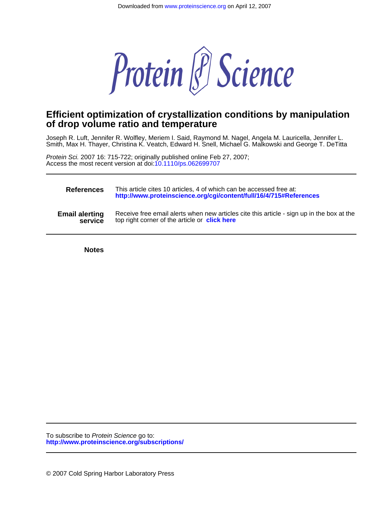

## **of drop volume ratio and temperature Efficient optimization of crystallization conditions by manipulation**

Smith, Max H. Thayer, Christina K. Veatch, Edward H. Snell, Michael G. Malkowski and George T. DeTitta Joseph R. Luft, Jennifer R. Wolfley, Meriem I. Said, Raymond M. Nagel, Angela M. Lauricella, Jennifer L.

Access the most recent version at doi[:10.1110/ps.062699707](http://www.proteinscience.org/cgi/doi/10.1110/ps.062699707) Protein Sci. 2007 16: 715-722; originally published online Feb 27, 2007;

| <b>References</b>     | This article cites 10 articles, 4 of which can be accessed free at:<br>http://www.proteinscience.org/cgi/content/full/16/4/715#References |
|-----------------------|-------------------------------------------------------------------------------------------------------------------------------------------|
| <b>Email alerting</b> | Receive free email alerts when new articles cite this article - sign up in the box at the                                                 |
| service               | top right corner of the article or click here                                                                                             |

**Notes**

**<http://www.proteinscience.org/subscriptions/>** To subscribe to Protein Science go to: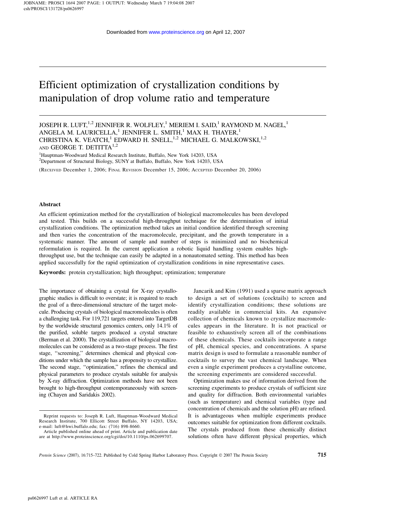# Efficient optimization of crystallization conditions by manipulation of drop volume ratio and temperature

JOSEPH R. LUFT, <sup>1,2</sup> JENNIFER R. WOLFLEY,<sup>1</sup> MERIEM I. SAID,<sup>1</sup> RAYMOND M. NAGEL,<sup>1</sup> ANGELA M. LAURICELLA, $^{\rm 1}$  JENNIFER L. SMITH, $^{\rm 1}$  MAX H. THAYER, $^{\rm 1}$ CHRISTINA K. VEATCH, $^1$  EDWARD H. SNELL, $^{1,2}$  MICHAEL G. MALKOWSKI, $^{1,2}$ AND GEORGE T. DETITTA<sup>1,2</sup>

<sup>1</sup>Hauptman-Woodward Medical Research Institute, Buffalo, New York 14203, USA <sup>2</sup>Department of Structural Biology, SUNY at Buffalo, Buffalo, New York 14203, USA

(RECEIVED December 1, 2006; FINAL REVISION December 15, 2006; ACCEPTED December 20, 2006)

#### Abstract

An efficient optimization method for the crystallization of biological macromolecules has been developed and tested. This builds on a successful high-throughput technique for the determination of initial crystallization conditions. The optimization method takes an initial condition identified through screening and then varies the concentration of the macromolecule, precipitant, and the growth temperature in a systematic manner. The amount of sample and number of steps is minimized and no biochemical reformulation is required. In the current application a robotic liquid handling system enables highthroughput use, but the technique can easily be adapted in a nonautomated setting. This method has been applied successfully for the rapid optimization of crystallization conditions in nine representative cases.

Keywords: protein crystallization; high throughput; optimization; temperature

The importance of obtaining a crystal for X-ray crystallographic studies is difficult to overstate; it is required to reach the goal of a three-dimensional structure of the target molecule. Producing crystals of biological macromolecules is often a challenging task. For 119,721 targets entered into TargetDB by the worldwide structural genomics centers, only 14.1% of the purified, soluble targets produced a crystal structure (Berman et al. 2000). The crystallization of biological macromolecules can be considered as a two-stage process. The first stage, ''screening,'' determines chemical and physical conditions under which the sample has a propensity to crystallize. The second stage, ''optimization,'' refines the chemical and physical parameters to produce crystals suitable for analysis by X-ray diffraction. Optimization methods have not been brought to high-throughput contemporaneously with screening (Chayen and Saridakis 2002).

Jancarik and Kim (1991) used a sparse matrix approach to design a set of solutions (cocktails) to screen and identify crystallization conditions; these solutions are readily available in commercial kits. An expansive collection of chemicals known to crystallize macromolecules appears in the literature. It is not practical or feasible to exhaustively screen all of the combinations of these chemicals. These cocktails incorporate a range of pH, chemical species, and concentrations. A sparse matrix design is used to formulate a reasonable number of cocktails to survey the vast chemical landscape. When even a single experiment produces a crystalline outcome, the screening experiments are considered successful.

Optimization makes use of information derived from the screening experiments to produce crystals of sufficient size and quality for diffraction. Both environmental variables (such as temperature) and chemical variables (type and concentration of chemicals and the solution pH) are refined. It is advantageous when multiple experiments produce outcomes suitable for optimization from different cocktails. The crystals produced from these chemically distinct solutions often have different physical properties, which

Reprint requests to: Joseph R. Luft, Hauptman-Woodward Medical Research Institute, 700 Ellicott Street Buffalo, NY 14203, USA; e-mail: luft@hwi.buffalo.edu; fax: (716) 898-8660.

Article published online ahead of print. Article and publication date are at http://www.proteinscience.org/cgi/doi/10.1110/ps.062699707.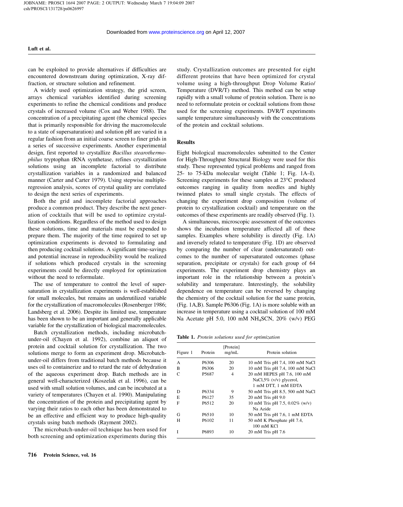can be exploited to provide alternatives if difficulties are encountered downstream during optimization, X-ray diffraction, or structure solution and refinement.

A widely used optimization strategy, the grid screen, arrays chemical variables identified during screening experiments to refine the chemical conditions and produce crystals of increased volume (Cox and Weber 1988). The concentration of a precipitating agent (the chemical species that is primarily responsible for driving the macromolecule to a state of supersaturation) and solution pH are varied in a regular fashion from an initial coarse screen to finer grids in a series of successive experiments. Another experimental design, first reported to crystallize Bacillus stearothermophilus tryptophan tRNA synthetase, refines crystallization solutions using an incomplete factorial to distribute crystallization variables in a randomized and balanced manner (Carter and Carter 1979). Using stepwise multipleregression analysis, scores of crystal quality are correlated to design the next series of experiments.

Both the grid and incomplete factorial approaches produce a common product. They describe the next generation of cocktails that will be used to optimize crystallization conditions. Regardless of the method used to design these solutions, time and materials must be expended to prepare them. The majority of the time required to set up optimization experiments is devoted to formulating and then producing cocktail solutions. A significant time-savings and potential increase in reproducibility would be realized if solutions which produced crystals in the screening experiments could be directly employed for optimization without the need to reformulate.

The use of temperature to control the level of supersaturation in crystallization experiments is well-established for small molecules, but remains an underutilized variable for the crystallization of macromolecules (Rosenberger 1986; Landsberg et al. 2006). Despite its limited use, temperature has been shown to be an important and generally applicable variable for the crystallization of biological macromolecules.

Batch crystallization methods, including microbatchunder-oil (Chayen et al. 1992), combine an aliquot of protein and cocktail solution for crystallization. The two solutions merge to form an experiment drop. Microbatchunder-oil differs from traditional batch methods because it uses oil to containerize and to retard the rate of dehydration of the aqueous experiment drop. Batch methods are in general well-characterized (Koszelak et al. 1996), can be used with small solution volumes, and can be incubated at a variety of temperatures (Chayen et al. 1990). Manipulating the concentration of the protein and precipitating agent by varying their ratios to each other has been demonstrated to be an effective and efficient way to produce high-quality crystals using batch methods (Rayment 2002).

The microbatch-under-oil technique has been used for both screening and optimization experiments during this

study. Crystallization outcomes are presented for eight different proteins that have been optimized for crystal volume using a high-throughput Drop Volume Ratio/ Temperature (DVR/T) method. This method can be setup rapidly with a small volume of protein solution. There is no need to reformulate protein or cocktail solutions from those used for the screening experiments. DVR/T experiments sample temperature simultaneously with the concentrations of the protein and cocktail solutions.

#### **Results**

Eight biological macromolecules submitted to the Center for High-Throughput Structural Biology were used for this study. These represented typical problems and ranged from 25- to 75-kDa molecular weight (Table 1; Fig. 1A–I). Screening experiments for these samples at 23°C produced outcomes ranging in quality from needles and highly twinned plates to small single crystals. The effects of changing the experiment drop composition (volume of protein to crystallization cocktail) and temperature on the outcomes of these experiments are readily observed (Fig. 1).

A simultaneous, microscopic assessment of the outcomes shows the incubation temperature affected all of these samples. Examples where solubility is directly (Fig. 1A) and inversely related to temperature (Fig. 1D) are observed by comparing the number of clear (undersaturated) outcomes to the number of supersaturated outcomes (phase separation, precipitate or crystals) for each group of 64 experiments. The experiment drop chemistry plays an important role in the relationship between a protein's solubility and temperature. Interestingly, the solubility dependence on temperature can be reversed by changing the chemistry of the cocktail solution for the same protein, (Fig. 1A,B). Sample P6306 (Fig. 1A) is more soluble with an increase in temperature using a cocktail solution of 100 mM Na Acetate pH 5.0, 100 mM NH4SCN, 20% (w/v) PEG

Table 1. Protein solutions used for optimization

| Figure 1 | Protein            | [Protein]<br>mg/mL | Protein solution                                   |
|----------|--------------------|--------------------|----------------------------------------------------|
| A        | P <sub>6306</sub>  | 20                 | 10 mM Tris pH 7.4, 100 mM NaCl                     |
| B        | P <sub>6306</sub>  | 20                 | 10 mM Tris pH 7.4, 100 mM NaCl                     |
|          | P <sub>5687</sub>  | 4                  | 20 mM HEPES pH 7.6, 100 mM                         |
|          |                    |                    | NaCl, $5\%$ (v/v) glycerol,<br>1 mM DTT, 1 mM EDTA |
| D        | P <sub>6</sub> 334 | 9                  | 50 mM Tris pH 8.5, 500 mM NaCl                     |
| E        | P <sub>6</sub> 127 | 35                 | $20 \text{ mM}$ Tris pH $9.0$                      |
| F        | P <sub>6512</sub>  | 20                 | 10 mM Tris pH 7.5, 0.02% (w/v)                     |
|          |                    |                    | Na Azide                                           |
| G        | P <sub>6510</sub>  | 10                 | 50 mM Tris pH 7.6, 1 mM EDTA                       |
| H        | P <sub>6102</sub>  | 11                 | 50 mM K Phosphate pH 7.4,<br>100 mM KCI            |
|          | P6893              | 10                 | $20 \text{ mM}$ Tris pH 7.6                        |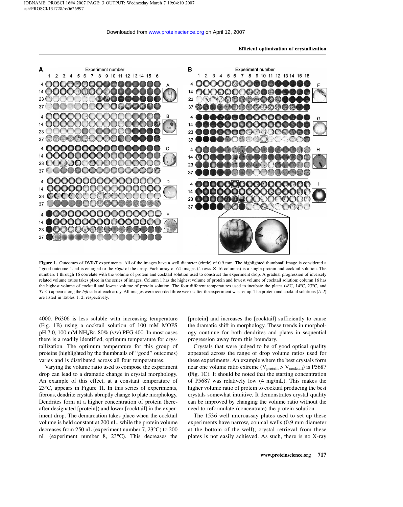

Figure 1. Outcomes of DVR/T experiments. All of the images have a well diameter (circle) of 0.9 mm. The highlighted thumbnail image is considered a "good outcome" and is enlarged to the *right* of the array. Each array of 64 images (4 rows  $\times$  16 columns) is a single-protein and cocktail solution. The numbers 1 through 16 correlate with the volume of protein and cocktail solution used to construct the experiment drop. A gradual progression of inversely related volume ratios takes place in the series of images. Column 1 has the highest volume of protein and lowest volume of cocktail solution; column 16 has the highest volume of cocktail and lowest volume of protein solution. The four different temperatures used to incubate the plates ( $4^{\circ}$ C,  $14^{\circ}$ C,  $23^{\circ}$ C, and 37°C) appear along the *left* side of each array. All images were recorded three weeks after the experiment was set up. The protein and cocktail solutions (A–I) are listed in Tables 1, 2, respectively.

4000. P6306 is less soluble with increasing temperature (Fig. 1B) using a cocktail solution of 100 mM MOPS pH 7.0, 100 mM NH4Br, 80% (v/v) PEG 400. In most cases there is a readily identified, optimum temperature for crystallization. The optimum temperature for this group of proteins (highlighted by the thumbnails of ''good'' outcomes) varies and is distributed across all four temperatures.

Varying the volume ratio used to compose the experiment drop can lead to a dramatic change in crystal morphology. An example of this effect, at a constant temperature of 23°C, appears in Figure 1I. In this series of experiments, fibrous, dendrite crystals abruptly change to plate morphology. Dendrites form at a higher concentration of protein (hereafter designated [protein]) and lower [cocktail] in the experiment drop. The demarcation takes place when the cocktail volume is held constant at 200 nL, while the protein volume decreases from 250 nL (experiment number 7, 23°C) to 200 nL (experiment number 8, 23°C). This decreases the

[protein] and increases the [cocktail] sufficiently to cause the dramatic shift in morphology. These trends in morphology continue for both dendrites and plates in sequential progression away from this boundary.

Crystals that were judged to be of good optical quality appeared across the range of drop volume ratios used for these experiments. An example where the best crystals form near one volume ratio extreme ( $V_{\text{protein}} > V_{\text{cocktail}}$ ) is P5687 (Fig. 1C). It should be noted that the starting concentration of P5687 was relatively low (4 mg/mL). This makes the higher volume ratio of protein to cocktail producing the best crystals somewhat intuitive. It demonstrates crystal quality can be improved by changing the volume ratio without the need to reformulate (concentrate) the protein solution.

The 1536 well microassay plates used to set up these experiments have narrow, conical wells (0.9 mm diameter at the bottom of the well); crystal retrieval from these plates is not easily achieved. As such, there is no X-ray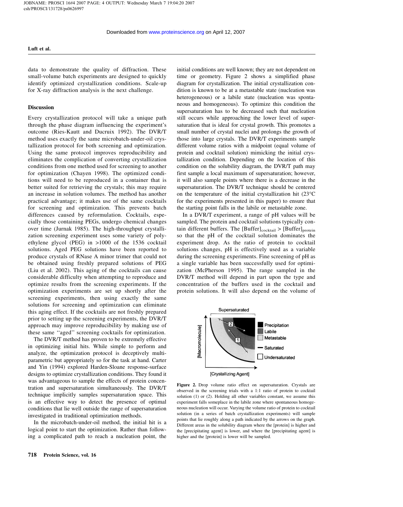data to demonstrate the quality of diffraction. These small-volume batch experiments are designed to quickly identify optimized crystallization conditions. Scale-up for X-ray diffraction analysis is the next challenge.

#### **Discussion**

Every crystallization protocol will take a unique path through the phase diagram influencing the experiment's outcome (Ries-Kautt and Ducruix 1992). The DVR/T method uses exactly the same microbatch-under-oil crystallization protocol for both screening and optimization. Using the same protocol improves reproducibility and eliminates the complication of converting crystallization conditions from one method used for screening to another for optimization (Chayen 1998). The optimized conditions will need to be reproduced in a container that is better suited for retrieving the crystals; this may require an increase in solution volumes. The method has another practical advantage; it makes use of the same cocktails for screening and optimization. This prevents batch differences caused by reformulation. Cocktails, especially those containing PEGs, undergo chemical changes over time (Jurnak 1985). The high-throughput crystallization screening experiment uses some variety of polyethylene glycol (PEG) in >1000 of the 1536 cocktail solutions. Aged PEG solutions have been reported to produce crystals of RNase A minor trimer that could not be obtained using freshly prepared solutions of PEG (Liu et al. 2002). This aging of the cocktails can cause considerable difficulty when attempting to reproduce and optimize results from the screening experiments. If the optimization experiments are set up shortly after the screening experiments, then using exactly the same solutions for screening and optimization can eliminate this aging effect. If the cocktails are not freshly prepared prior to setting up the screening experiments, the DVR/T approach may improve reproducibility by making use of these same ''aged'' screening cocktails for optimization.

The DVR/T method has proven to be extremely effective in optimizing initial hits. While simple to perform and analyze, the optimization protocol is deceptively multiparametric but appropriately so for the task at hand. Carter and Yin (1994) explored Harden-Sloane response-surface designs to optimize crystallization conditions. They found it was advantageous to sample the effects of protein concentration and supersaturation simultaneously. The DVR/T technique implicitly samples supersaturation space. This is an effective way to detect the presence of optimal conditions that lie well outside the range of supersaturation investigated in traditional optimization methods.

In the microbatch-under-oil method, the initial hit is a logical point to start the optimization. Rather than following a complicated path to reach a nucleation point, the

initial conditions are well known; they are not dependent on time or geometry. Figure 2 shows a simplified phase diagram for crystallization. The initial crystallization condition is known to be at a metastable state (nucleation was heterogeneous) or a labile state (nucleation was spontaneous and homogeneous). To optimize this condition the supersaturation has to be decreased such that nucleation still occurs while approaching the lower level of supersaturation that is ideal for crystal growth. This promotes a small number of crystal nuclei and prolongs the growth of those into large crystals. The DVR/T experiments sample different volume ratios with a midpoint (equal volume of protein and cocktail solution) mimicking the initial crystallization condition. Depending on the location of this condition on the solubility diagram, the DVR/T path may first sample a local maximum of supersaturation; however, it will also sample points where there is a decrease in the supersaturation. The DVR/T technique should be centered on the temperature of the initial crystallization hit (23°C for the experiments presented in this paper) to ensure that the starting point falls in the labile or metastable zone.

In a DVR/T experiment, a range of pH values will be sampled. The protein and cocktail solutions typically contain different buffers. The  $[Buffer]_{\text{cocktail}} > [Buffer]_{\text{protein}}$ so that the pH of the cocktail solution dominates the experiment drop. As the ratio of protein to cocktail solutions changes, pH is effectively used as a variable during the screening experiments. Fine screening of pH as a single variable has been successfully used for optimization (McPherson 1995). The range sampled in the DVR/T method will depend in part upon the type and concentration of the buffers used in the cocktail and protein solutions. It will also depend on the volume of



Figure 2. Drop volume ratio effect on supersaturation. Crystals are observed in the screening trials with a 1:1 ratio of protein to cocktail solution (1) or (2). Holding all other variables constant, we assume this experiment falls someplace in the labile zone where spontaneous homogeneous nucleation will occur. Varying the volume ratio of protein to cocktail solution (in a series of batch crystallization experiments) will sample points that lie roughly along a path indicated by the arrows on the graph. Different areas in the solubility diagram where the [protein] is higher and the [precipitating agent] is lower, and where the [precipitating agent] is higher and the [protein] is lower will be sampled.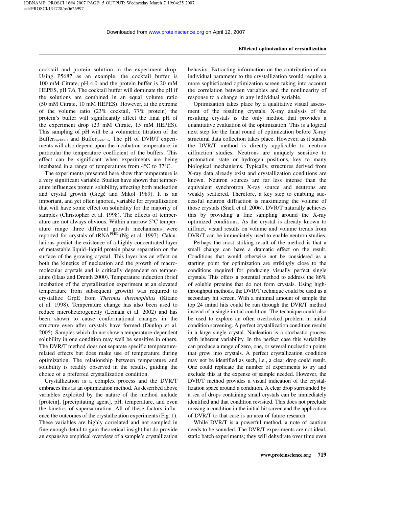cocktail and protein solution in the experiment drop. Using P5687 as an example, the cocktail buffer is 100 mM Citrate, pH 4.0 and the protein buffer is 20 mM HEPES, pH 7.6. The cocktail buffer will dominate the pH if the solutions are combined in an equal volume ratio (50 mM Citrate, 10 mM HEPES). However, at the extreme of the volume ratio (23% cocktail, 77% protein) the protein's buffer will significantly affect the final pH of the experiment drop (23 mM Citrate, 15 mM HEPES). This sampling of pH will be a volumetric titration of the Buffer $_{\text{cocktail}}$  and Buffer $_{\text{protein}}$ . The pH of DVR/T experiments will also depend upon the incubation temperature, in particular the temperature coefficient of the buffers. This effect can be significant when experiments are being incubated in a range of temperatures from 4°C to 37°C.

The experiments presented here show that temperature is a very significant variable. Studies have shown that temperature influences protein solubility, affecting both nucleation and crystal growth (Giegé and Mikol 1989). It is an important, and yet often ignored, variable for crystallization that will have some effect on solubility for the majority of samples (Christopher et al. 1998). The effects of temperature are not always obvious. Within a narrow 5°C temperature range three different growth mechanisms were reported for crystals of tRNA<sup>PHE</sup> (Ng et al. 1997). Calculations predict the existence of a highly concentrated layer of metastable liquid–liquid protein phase separation on the surface of the growing crystal. This layer has an effect on both the kinetics of nucleation and the growth of macromolecular crystals and is critically dependent on temperature (Haas and Drenth 2000). Temperature induction (brief incubation of the crystallization experiment at an elevated temperature from subsequent growth) was required to crystallize GrpE from Thermus thermophilus (Kitano et al. 1998). Temperature change has also been used to reduce microheterogeneity (Leinala et al. 2002) and has been shown to cause conformational changes in the structure even after crystals have formed (Dunlop et al. 2005). Samples which do not show a temperature-dependent solubility in one condition may well be sensitive in others. The DVR/T method does not separate specific temperaturerelated effects but does make use of temperature during optimization. The relationship between temperature and solubility is readily observed in the results, guiding the choice of a preferred crystallization condition.

Crystallization is a complex process and the DVR/T embraces this as an optimization method. As described above variables exploited by the nature of the method include [protein], [precipitating agent], pH, temperature, and even the kinetics of supersaturation. All of these factors influence the outcomes of the crystallization experiments (Fig. 1). These variables are highly correlated and not sampled in fine-enough detail to gain theoretical insight but do provide an expansive empirical overview of a sample's crystallization

behavior. Extracting information on the contribution of an individual parameter to the crystallization would require a more sophisticated optimization screen taking into account the correlation between variables and the nonlinearity of response to a change in any individual variable.

Optimization takes place by a qualitative visual assessment of the resulting crystals. X-ray analysis of the resulting crystals is the only method that provides a quantitative evaluation of the optimization. This is a logical next step for the final round of optimization before X-ray structural data collection takes place. However, as it stands the DVR/T method is directly applicable to neutron diffraction studies. Neutrons are uniquely sensitive to protonation state or hydrogen positions, key to many biological mechanisms. Typically, structures derived from X-ray data already exist and crystallization conditions are known. Neutron sources are far less intense than the equivalent synchrotron X-ray source and neutrons are weakly scattered. Therefore, a key step to enabling successful neutron diffraction is maximizing the volume of those crystals (Snell et al. 2006). DVR/T naturally achieves this by providing a fine sampling around the X-ray optimized conditions. As the crystal is already known to diffract, visual results on volume and volume trends from DVR/T can be immediately used to enable neutron studies.

Perhaps the most striking result of the method is that a small change can have a dramatic effect on the result. Conditions that would otherwise not be considered as a starting point for optimization are strikingly close to the conditions required for producing visually perfect single crystals. This offers a potential method to address the 86% of soluble proteins that do not form crystals. Using highthroughput methods, the DVR/T technique could be used as a secondary hit screen. With a minimal amount of sample the top 24 initial hits could be run through the DVR/T method instead of a single initial condition. The technique could also be used to explore an often overlooked problem in initial condition screening. A perfect crystallization condition results in a large single crystal. Nucleation is a stochastic process with inherent variability. In the perfect case this variability can produce a range of zero, one, or several nucleation points that grow into crystals. A perfect crystallization condition may not be identified as such, i.e., a clear drop could result. One could replicate the number of experiments to try and exclude this at the expense of sample needed. However, the DVR/T method provides a visual indication of the crystallization space around a condition. A clear drop surrounded by a sea of drops containing small crystals can be immediately identified and that condition revisited. This does not preclude missing a condition in the initial hit screen and the application of DVR/T to that case is an area of future research.

While DVR/T is a powerful method, a note of caution needs to be sounded. The DVR/T experiments are not ideal, static batch experiments; they will dehydrate over time even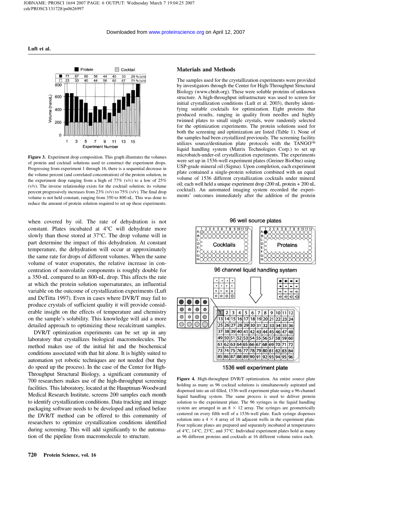

Figure 3. Experiment drop composition. This graph illustrates the volumes of protein and cocktail solutions used to construct the experiment drops. Progressing from experiment 1 through 16, there is a sequential decrease in the volume percent (and correlated concentration) of the protein solution, in the experiment drop ranging from a high of  $77\%$  (v/v) to a low of  $25\%$ (v/v). The inverse relationship exists for the cocktail solution; its volume percent progressively increases from 23% (v/v) to 75% (v/v). The final drop volume is not held constant, ranging from 350 to 800 nL. This was done to reduce the amount of protein solution required to set up these experiments.

when covered by oil. The rate of dehydration is not constant. Plates incubated at 4°C will dehydrate more slowly than those stored at 37°C. The drop volume will in part determine the impact of this dehydration. At constant temperature, the dehydration will occur at approximately the same rate for drops of different volumes. When the same volume of water evaporates, the relative increase in concentration of nonvolatile components is roughly double for a 350-nL compared to an 800-nL drop. This affects the rate at which the protein solution supersaturates, an influential variable on the outcome of crystallization experiments (Luft and DeTitta 1997). Even in cases where DVR/T may fail to produce crystals of sufficient quality it will provide considerable insight on the effects of temperature and chemistry on the sample's solubility. This knowledge will aid a more detailed approach to optimizing these recalcitrant samples.

DVR/T optimization experiments can be set up in any laboratory that crystallizes biological macromolecules. The method makes use of the initial hit and the biochemical conditions associated with that hit alone. It is highly suited to automation yet robotic techniques are not needed (but they do speed up the process). In the case of the Center for High-Throughput Structural Biology, a significant community of 700 researchers makes use of the high-throughput screening facilities. This laboratory, located at the Hauptman-Woodward Medical Research Institute, screens 200 samples each month to identify crystallization conditions. Data tracking and image packaging software needs to be developed and refined before the DVR/T method can be offered to this community of researchers to optimize crystallization conditions identified during screening. This will add significantly to the automation of the pipeline from macromolecule to structure.

### Materials and Methods

The samples used for the crystallization experiments were provided by investigators through the Center for High-Throughput Structural Biology (www.chtsb.org). These were soluble proteins of unknown structure. A high-throughput infrastructure was used to screen for initial crystallization conditions (Luft et al. 2003), thereby identifying suitable cocktails for optimization. Eight proteins that produced results, ranging in quality from needles and highly twinned plates to small single crystals, were randomly selected for the optimization experiments. The protein solutions used for both the screening and optimization are listed (Table 1). None of the samples had been crystallized previously. The screening facility utilizes source/destination plate protocols with the TANGO™ liquid handling system (Matrix Technologies Corp.) to set up microbatch-under-oil crystallization experiments. The experiments were set up in 1536-well experiment plates (Greiner BioOne) using USP-grade mineral oil (Sigma). Upon completion, each experiment plate contained a single-protein solution combined with an equal volume of 1536 different crystallization cocktails under mineral oil; each well held a unique experiment drop (200 nL protein + 200 nL cocktail). An automated imaging system recorded the experiments' outcomes immediately after the addition of the protein

96 well source plates



1536 well experiment plate

Figure 4. High-throughput DVR/T optimization. An entire source plate holding as many as 96 cocktail solutions is simultaneously aspirated and dispensed into an oil-filled, 1536-well experiment plate using a 96-channel liquid handling system. The same process is used to deliver protein solution to the experiment plate. The 96 syringes in the liquid handling system are arranged in an  $8 \times 12$  array. The syringes are geometrically centered on every fifth well of a 1536-well plate. Each syringe dispenses solution into a  $4 \times 4$  array of 16 adjacent wells in the experiment plate. Four replicate plates are prepared and separately incubated at temperatures of 4°C, 14°C, 23°C, and 37°C. Individual experiment plates hold as many as 96 different proteins and cocktails at 16 different volume ratios each.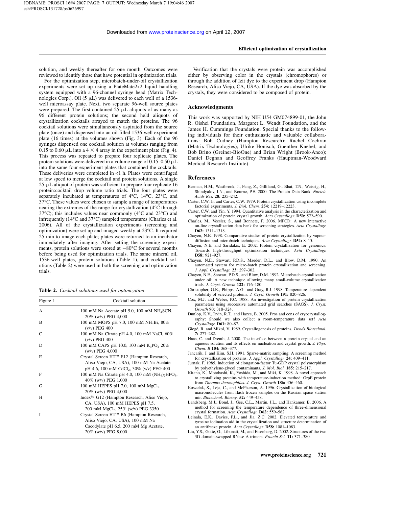solution, and weekly thereafter for one month. Outcomes were reviewed to identify those that have potential in optimization trials.

For the optimization step, microbatch-under-oil crystallization experiments were set up using a PlateMate2x2 liquid handling system equipped with a 96-channel syringe head (Matrix Technologies Corp.). Oil  $(5 \mu L)$  was delivered to each well of a 1536well microassay plate. Next, two separate 96-well source plates were prepared. The first contained  $25 \mu L$  aliquots of as many as 96 different protein solutions; the second held aliquots of crystallization cocktails arrayed to match the proteins. The 96 cocktail solutions were simultaneously aspirated from the source plate (once) and dispensed into an oil-filled 1536-well experiment plate (16 times) at the volumes shown (Fig. 3). Each of the 96 syringes dispensed one cocktail solution at volumes ranging from 0.15 to 0.60  $\mu$ L into a 4  $\times$  4 array in the experiment plate (Fig. 4). This process was repeated to prepare four replicate plates. The protein solutions were delivered in a volume range of  $0.15-0.50 \mu L$ into the same four experiment plates that contained the cocktails. These deliveries were completed in <1 h. Plates were centrifuged at low speed to merge the cocktail and protein solutions. A single  $25$ - $\mu$ L aliquot of protein was sufficient to prepare four replicate 16 protein:cocktail drop volume ratio trials. The four plates were separately incubated at temperatures of 4°C, 14°C, 23°C, and 37°C. These values were chosen to sample a range of temperatures nearing the extremes of the range for crystallization (4°C through 37°C); this includes values near commonly (4°C and 23°C) and infrequently (14°C and 37°C) sampled temperatures (Charles et al. 2006). All of the crystallization experiments (screening and optimization) were set up and imaged weekly at 23°C. It required 25 min to image each plate; plates were returned to an incubator immediately after imaging. After setting the screening experiments, protein solutions were stored at  $-80^{\circ}$ C for several months before being used for optimization trials. The same mineral oil, 1536-well plates, protein solutions (Table 1), and cocktail solutions (Table 2) were used in both the screening and optimization trials.

Table 2. Cocktail solutions used for optimization

| Figure 1 | Cocktail solution                                                                                                                             |  |  |
|----------|-----------------------------------------------------------------------------------------------------------------------------------------------|--|--|
| A        | 100 mM Na Acetate pH 5.0, 100 mM $NH_4$ SCN,<br>20% (w/v) PEG 4,000                                                                           |  |  |
| B        | 100 mM MOPS pH 7.0, 100 mM NH <sub>4</sub> Br, 80%<br>$(v/v)$ PEG 400                                                                         |  |  |
| C        | 100 mM Na Citrate pH 4.0, 100 mM NaCl, 60%<br>$(v/v)$ PEG 400                                                                                 |  |  |
| D        | 100 mM CAPS pH 10.0, 100 mM $K_3PO_4$ 20%<br>$(w/v)$ PEG 4,000                                                                                |  |  |
| E        | Crystal Screen HT™ E12 (Hampton Research,<br>Aliso Viejo, CA, USA), 100 mM Na Acetate<br>pH 4.6, 100 mM CdCl <sub>2</sub> , 30% (v/v) PEG 400 |  |  |
| F        | 100 mM Na Citrate pH 4.0, 100 mM $(NH_4)_2HPO_4$ ,<br>40% (w/v) PEG 1,000                                                                     |  |  |
| G        | 100 mM HEPES pH 7.0, 100 mM MgCl <sub>2</sub> ,<br>20% (w/v) PEG 4,000                                                                        |  |  |
| H        | Index <sup>™</sup> G12 (Hampton Research, Aliso Viejo,<br>CA, USA), 100 mM HEPES pH 7.5,<br>200 mM MgCl <sub>2</sub> , 25% (w/v) PEG 3350     |  |  |
| I        | Crystal Screen HT™ B6 (Hampton Research,<br>Aliso Viejo, CA, USA), 100 mM Na<br>Cacodylate pH 6.5, 200 mM Mg Acetate,<br>20% (w/v) PEG 8,000  |  |  |

Verification that the crystals were protein was accomplished either by observing color in the crystals (chromophores) or through the addition of Izit dye to the experiment drop (Hampton Research, Aliso Viejo, CA, USA). If the dye was absorbed by the crystals, they were considered to be composed of protein.

#### Acknowledgments

This work was supported by NIH U54 GM074899-01, the John R. Oishei Foundation, Margaret L. Wendt Foundation, and the James H. Cummings Foundation. Special thanks to the following individuals for their enthusiastic and valuable collaborations: Bob Cudney (Hampton Research); Rachel Cochran (Matrix Technologies); Ulrike Honisch, Guenther Knebel, and Bob Brino (Greiner-BioOne) and Brian Wright (Brook-Anco); Daniel Degnan and Geoffrey Franks (Hauptman-Woodward Medical Research Institute).

#### References

- Berman, H.M., Westbrook, J., Feng, Z., Gilliland, G., Bhat, T.N., Weissig, H., Shindyalov, I.N., and Bourne, P.E. 2000. The Protein Data Bank. Nucleic Acids Res. 28: 235–242.
- Carter, C.W. Jr. and Carter, C.W. 1979. Protein crystallization using incomplete factorial experiments. J. Biol. Chem. 254: 12219–12223.
- Carter, C.W. and Yin, Y. 1994. Quantitative analysis in the characterization and optimization of protein crystal growth. Acta Crystallogr. D50: 572–590.
- Charles, M., Veesler, S., and Bonnete, F. 2006. MPCD: A new interactive on-line crystallization data bank for screening strategies. Acta Crystallogr. D62: 1311–1318.
- Chayen, N.E. 1998. Comparative studies of protein crystallization by vapourdiffusion and microbatch techniques. Acta Crystallogr. **D54:** 8-15.
- Chayen, N.E. and Saridakis, E. 2002. Protein crystallization for genomics: Towards high-throughput optimization techniques. Acta Crystallogr. D58: 921-927.
- Chayen, N.E., Stewart, P.D.S., Maeder, D.L., and Blow, D.M. 1990. An automated system for micro-batch protein crystallization and screening. J. Appl. Crystallogr. 23: 297–302.
- Chayen, N.E., Stewart, P.D.S., and Blow, D.M. 1992. Microbatch crystallization under oil: A new technique allowing many small-volume crystallization trials. J. Cryst. Growth 122: 176–180.
- Christopher, G.K., Phipps, A.G., and Gray, R.J. 1998. Temperature-dependent solubility of selected proteins. J. Cryst. Growth 191: 820–826.
- Cox, M.J. and Weber, P.C. 1988. An investigation of protein crystallization parameters using successive automated grid searches (SAGS). J. Cryst. Growth 90: 318–324.
- Dunlop, K.V., Irvin, R.T., and Hazes, B. 2005. Pros and cons of cryocrystallography: Should we also collect a room-temperature data set? Acta Crystallogr. D61: 80–87.
- Giegé, R. and Mikol, V. 1989. Crystallogenesis of proteins. Trends Biotechnol.  $7.277 - 282$
- Haas, C. and Drenth, J. 2000. The interface between a protein crystal and an aqueous solution and its effects on nucleation and crystal growth. J. Phys. Chem. B 104: 368–377.
- Jancarik, J. and Kim, S.H. 1991. Sparse-matrix sampling: A screening method for crystallization of proteins. J. Appl. Crystallogr. 24: 409–411.
- Jurnak, F. 1985. Induction of elongation-factor Tu-GDP crystal polymorphism by polyethylene-glycol contaminants. J. Mol. Biol. 185: 215–217.
- Kitano, K., Motohashi, K., Yoshida, M., and Miki, K. 1998. A novel approach to crystallizing proteins with temperature-induction method: GrpE protein from Thermus thermophilus. J. Cryst. Growth 186: 456-460.
- Koszelak, S., Leja, C., and McPherson, A. 1996. Crystallization of biological macromolecules from flash frozen samples on the Russian space station mir. Biotechnol. Bioeng. 52: 449–458.
- Landsberg, M.J., Bond, J., Gee, C.L., Martin, J.L., and Hankamer, B. 2006. A method for screening the temperature dependence of three-dimensional crystal formation. Acta Crystallogr. D62: 559–562.
- Leinala, E.K., Davies, P.L., and Jia, Z.C. 2002. Elevated temperature and tyrosine iodination aid in the crystallization and structure determination of an antifreeze protein. Acta Crystallogr. D58: 1081-1083.
- Liu, Y.S., Gotte, G., Libonati, M., and Eisenberg, D. 2002. Structures of the two 3D domain-swapped RNase A trimers. Protein Sci. 11: 371–380.